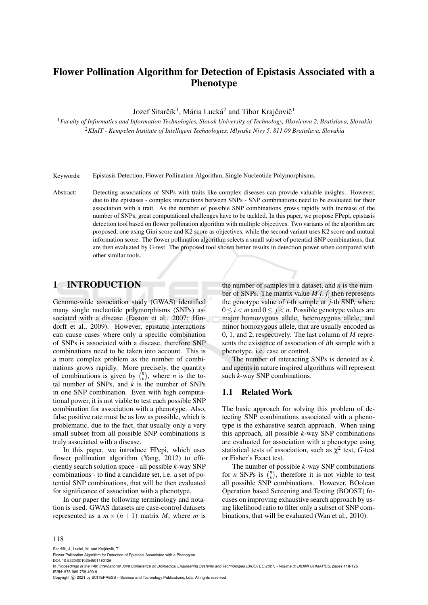# Flower Pollination Algorithm for Detection of Epistasis Associated with a Phenotype

Jozef Sitarčík<sup>1</sup>, Mária Lucká<sup>2</sup> and Tibor Krajčovič<sup>1</sup>

<sup>1</sup>*Faculty of Informatics and Information Technologies, Slovak University of Technology, Ilkovicova 2, Bratislava, Slovakia* <sup>2</sup>*KInIT - Kempelen Institute of Intelligent Technologies, Mlynske Nivy 5, 811 09 Bratislava, Slovakia*

Keywords: Epistasis Detection, Flower Pollination Algorithm, Single Nucleotide Polymorphisms.

Abstract: Detecting associations of SNPs with traits like complex diseases can provide valuable insights. However, due to the epistases - complex interactions between SNPs - SNP combinations need to be evaluated for their association with a trait. As the number of possible SNP combinations grows rapidly with increase of the number of SNPs, great computational challenges have to be tackled. In this paper, we propose FPepi, epistasis detection tool based on flower pollination algorithm with multiple objectives. Two variants of the algorithm are proposed, one using Gini score and K2 score as objectives, while the second variant uses K2 score and mutual information score. The flower pollination algorithm selects a small subset of potential SNP combinations, that are then evaluated by G-test. The proposed tool shown better results in detection power when compared with other similar tools.

### 1 INTRODUCTION

Genome-wide association study (GWAS) identified many single nucleotide polymorphisms (SNPs) associated with a disease (Easton et al., 2007; Hindorff et al., 2009). However, epistatic interactions can cause cases where only a specific combination of SNPs is associated with a disease, therefore SNP combinations need to be taken into account. This is a more complex problem as the number of combinations grows rapidly. More precisely, the quantity of combinations is given by  $\binom{n}{k}$ , where *n* is the total number of SNPs, and  $k$  is the number of SNPs in one SNP combination. Even with high computational power, it is not viable to test each possible SNP combination for association with a phenotype. Also, false positive rate must be as low as possible, which is problematic, due to the fact, that usually only a very small subset from all possible SNP combinations is truly associated with a disease.

In this paper, we introduce FPepi, which uses flower pollination algorithm (Yang, 2012) to efficiently search solution space - all possible *k*-way SNP combinations - to find a candidate set, i.e. a set of potential SNP combinations, that will be then evaluated for significance of association with a phenotype.

In our paper the following terminology and notation is used. GWAS datasets are case-control datasets represented as a  $m \times (n+1)$  matrix *M*, where *m* is

the number of samples in a dataset, and *n* is the number of SNPs. The matrix value  $M[i, j]$  then represents the genotype value of *i*-th sample at *j*-th SNP, where  $0 \le i < m$  and  $0 \le j < n$ . Possible genotype values are major homozygous allele, heterozygous allele, and minor homozygous allele, that are usually encoded as 0, 1, and 2, respectively. The last column of *M* represents the existence of association of *i*th sample with a phenotype, i.e. case or control.

The number of interacting SNPs is denoted as *k*, and agents in nature inspired algorithms will represent such *k*-way SNP combinations.

### 1.1 Related Work

The basic approach for solving this problem of detecting SNP combinations associated with a phenotype is the exhaustive search approach. When using this approach, all possible *k*-way SNP combinations are evaluated for association with a phenotype using statistical tests of association, such as  $\chi^2$  test, *G*-test or Fisher's Exact test.

The number of possible *k*-way SNP combinations for *n* SNPs is  $\binom{n}{k}$ , therefore it is not viable to test all possible SNP combinations. However, BOolean Operation based Screening and Testing (BOOST) focuses on improving exhaustive search approach by using likelihood ratio to filter only a subset of SNP combinations, that will be evaluated (Wan et al., 2010).

#### 118

Sitarčík, J., Lucká, M. and Krajčovič, T.

DOI: 10.5220/0010254501180126

Copyright (C) 2021 by SCITEPRESS - Science and Technology Publications, Lda. All rights reserved

Flower Pollination Algorithm for Detection of Epistasis Associated with a Phenotype.

In *Proceedings of the 14th International Joint Conference on Biomedical Engineering Systems and Technologies (BIOSTEC 2021) - Volume 3: BIOINFORMATICS*, pages 118-126 ISBN: 978-989-758-490-9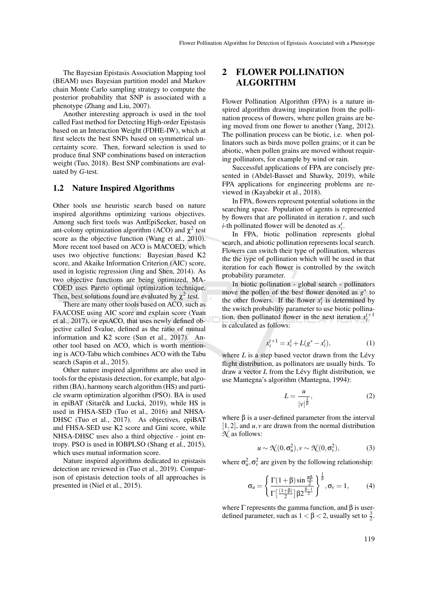The Bayesian Epistasis Association Mapping tool (BEAM) uses Bayesian partition model and Markov chain Monte Carlo sampling strategy to compute the posterior probability that SNP is associated with a phenotype (Zhang and Liu, 2007).

Another interesting approach is used in the tool called Fast method for Detecting High-order Epistasis based on an Interaction Weight (FDHE-IW), which at first selects the best SNPs based on symmetrical uncertainty score. Then, forward selection is used to produce final SNP combinations based on interaction weight (Tuo, 2018). Best SNP combinations are evaluated by *G*-test.

#### 1.2 Nature Inspired Algorithms

Other tools use heuristic search based on nature inspired algorithms optimizing various objectives. Among such first tools was AntEpiSeeker, based on ant-colony optimization algorithm (ACO) and  $\chi^2$  test score as the objective function (Wang et al., 2010). More recent tool based on ACO is MACOED, which uses two objective functions: Bayesian based K2 score, and Akaike Information Criterion (AIC) score, used in logistic regression (Jing and Shen, 2014). As two objective functions are being optimized, MA-COED uses Pareto optimal optimization technique. Then, best solutions found are evaluated by  $\chi^2$  test.

There are many other tools based on ACO, such as FAACOSE using AIC score and explain score (Yuan et al., 2017), or epiACO, that uses newly defined objective called Svalue, defined as the ratio of mutual information and K2 score (Sun et al., 2017). Another tool based on ACO, which is worth mentioning is ACO-Tabu which combines ACO with the Tabu search (Sapin et al., 2015).

Other nature inspired algorithms are also used in tools for the epistasis detection, for example, bat algorithm (BA), harmony search algorithm (HS) and particle swarm optimization algorithm (PSO). BA is used in epiBAT (Sitarčík and Lucká, 2019), while HS is used in FHSA-SED (Tuo et al., 2016) and NHSA-DHSC (Tuo et al., 2017). As objectives, epiBAT and FHSA-SED use K2 score and Gini score, while NHSA-DHSC uses also a third objective - joint entropy. PSO is used in IOBPLSO (Shang et al., 2015), which uses mutual information score.

Nature inspired algorithms dedicated to epistasis detection are reviewed in (Tuo et al., 2019). Comparison of epistasis detection tools of all approaches is presented in (Niel et al., 2015).

## FLOWER POLLINATION ALGORITHM

Flower Pollination Algorithm (FPA) is a nature inspired algorithm drawing inspiration from the pollination process of flowers, where pollen grains are being moved from one flower to another (Yang, 2012). The pollination process can be biotic, i.e. when pollinators such as birds move pollen grains; or it can be abiotic, when pollen grains are moved without requiring pollinators, for example by wind or rain.

Successful applications of FPA are concisely presented in (Abdel-Basset and Shawky, 2019), while FPA applications for engineering problems are reviewed in (Kayabekir et al., 2018).

In FPA, flowers represent potential solutions in the searching space. Population of agents is represented by flowers that are pollinated in iteration *t*, and such *i*-th pollinated flower will be denoted as  $x_i^t$ .

In FPA, biotic pollination represents global search, and abiotic pollination represents local search. Flowers can switch their type of pollination, whereas the the type of pollination which will be used in that iteration for each flower is controlled by the switch probability parameter.

In biotic pollination - global search - pollinators move the pollen of the best flower denoted as  $g^*$  to the other flowers. If the flower  $x_i^t$  is determined by the switch probability parameter to use biotic pollination, then pollinated flower in the next iteration  $x_i^{t+1}$ is calculated as follows:

$$
x_i^{t+1} = x_i^t + L(g^* - x_i^t),
$$
 (1)

where  $L$  is a step based vector drawn from the Lévy flight distribution, as pollinators are usually birds. To draw a vector *L* from the Lévy flight distribution, we use Mantegna's algorithm (Mantegna, 1994):

$$
L = \frac{u}{|v|^{\frac{1}{\beta}}},\tag{2}
$$

where  $β$  is a user-defined parameter from the interval  $[1,2]$ , and  $u, v$  are drawn from the normal distribution *N* as follows:

$$
u \sim \mathcal{N}(0, \sigma_u^2), v \sim \mathcal{N}(0, \sigma_v^2),
$$
 (3)

where  $\sigma_u^2$ ,  $\sigma_v^2$  are given by the following relationship:

$$
\sigma_u = \left\{ \frac{\Gamma(1+\beta)\sin\frac{\pi\beta}{2}}{\Gamma\left[\frac{(1+\beta)}{2}\right]\beta 2^{\frac{\beta-1}{2}}}\right\}^{\frac{1}{\beta}}, \sigma_v = 1, \quad (4)
$$

where  $\Gamma$  represents the gamma function, and  $\beta$  is userdefined parameter, such as  $1 < \beta < 2$ , usually set to  $\frac{3}{2}$ .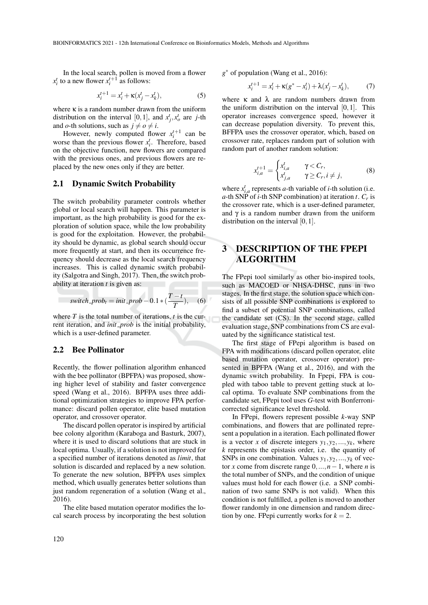In the local search, pollen is moved from a flower  $x_i^t$  to a new flower  $x_i^{t+1}$  as follows:

$$
x_i^{t+1} = x_i^t + \kappa (x_j^t - x_k^t),
$$
 (5)

where  $\kappa$  is a random number drawn from the uniform distribution on the interval [0, 1], and  $x_j^t$ ,  $x_o^t$  are *j*-th and *o*-th solutions, such as  $j \neq o \neq i$ .

However, newly computed flower  $x_i^{t+1}$  can be worse than the previous flower  $x_i^t$ . Therefore, based on the objective function, new flowers are compared with the previous ones, and previous flowers are replaced by the new ones only if they are better.

#### 2.1 Dynamic Switch Probability

The switch probability parameter controls whether global or local search will happen. This parameter is important, as the high probability is good for the exploration of solution space, while the low probability is good for the exploitation. However, the probability should be dynamic, as global search should occur more frequently at start, and then its occurrence frequency should decrease as the local search frequency increases. This is called dynamic switch probability (Salgotra and Singh, 2017). Then, the switch probability at iteration *t* is given as:

$$
switch\_prob_t = init\_prob - 0.1 * (\frac{T - t}{T}), \quad (6)
$$

where *T* is the total number of iterations, *t* is the current iteration, and *init prob* is the initial probability, which is a user-defined parameter.

#### 2.2 Bee Pollinator

Recently, the flower pollination algorithm enhanced with the bee pollinator (BPFPA) was proposed, showing higher level of stability and faster convergence speed (Wang et al., 2016). BPFPA uses three additional optimization strategies to improve FPA performance: discard pollen operator, elite based mutation operator, and crossover operator.

The discard pollen operator is inspired by artificial bee colony algorithm (Karaboga and Basturk, 2007), where it is used to discard solutions that are stuck in local optima. Usually, if a solution is not improved for a specified number of iterations denoted as *limit*, that solution is discarded and replaced by a new solution. To generate the new solution, BPFPA uses simplex method, which usually generates better solutions than just random regeneration of a solution (Wang et al., 2016).

The elite based mutation operator modifies the local search process by incorporating the best solution *g* <sup>∗</sup> of population (Wang et al., 2016):

$$
x_i^{t+1} = x_i^t + \kappa (g^* - x_i^t) + \lambda (x_j^t - x_k^t),
$$
 (7)

where  $\kappa$  and  $\lambda$  are random numbers drawn from the uniform distribution on the interval [0,1]. This operator increases convergence speed, however it can decrease population diversity. To prevent this, BFFPA uses the crossover operator, which, based on crossover rate, replaces random part of solution with random part of another random solution:

$$
x_{i,a}^{t+1} = \begin{cases} x_{i,a}^t & \gamma < C_r, \\ x_{j,a}^t & \gamma \ge C_r, i \neq j, \end{cases}
$$
 (8)

where  $x_{i,a}^t$  represents *a*-th variable of *i*-th solution (i.e. *a*-th SNP of *i*-th SNP combination) at iteration *t*. *C<sup>r</sup>* is the crossover rate, which is a user-defined parameter, and  $\gamma$  is a random number drawn from the uniform distribution on the interval [0,1].

## 3 DESCRIPTION OF THE FPEPI ALGORITHM

The FPepi tool similarly as other bio-inspired tools, such as MACOED or NHSA-DHSC, runs in two stages. In the first stage, the solution space which consists of all possible SNP combinations is explored to find a subset of potential SNP combinations, called the candidate set (CS). In the second stage, called evaluation stage, SNP combinations from CS are evaluated by the significance statistical test.

The first stage of FPepi algorithm is based on FPA with modifications (discard pollen operator, elite based mutation operator, crossover operator) presented in BPFPA (Wang et al., 2016), and with the dynamic switch probability. In Fpepi, FPA is coupled with taboo table to prevent getting stuck at local optima. To evaluate SNP combinations from the candidate set, FPepi tool uses *G*-test with Bonferronicorrected significance level threshold.

In FPepi, flowers represent possible *k*-way SNP combinations, and flowers that are pollinated represent a population in a iteration. Each pollinated flower is a vector *x* of discrete integers  $y_1, y_2, \ldots, y_k$ , where *k* represents the epistasis order, i.e. the quantity of SNPs in one combination. Values  $y_1, y_2, \ldots, y_k$  of vector *x* come from discrete range 0,...,*n*−1, where *n* is the total number of SNPs, and the condition of unique values must hold for each flower (i.e. a SNP combination of two same SNPs is not valid). When this condition is not fulfilled, a pollen is moved to another flower randomly in one dimension and random direction by one. FPepi currently works for  $k = 2$ .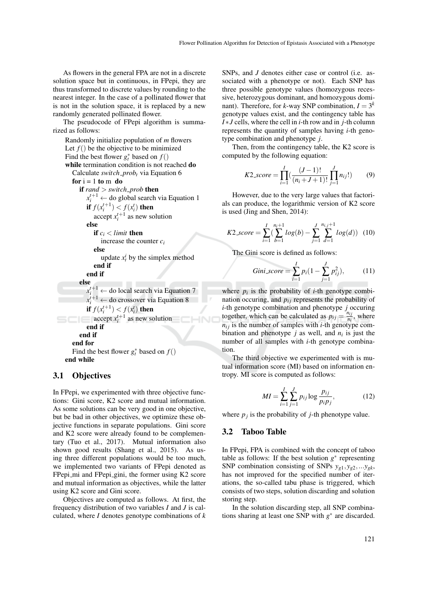As flowers in the general FPA are not in a discrete solution space but in continuous, in FPepi, they are thus transformed to discrete values by rounding to the nearest integer. In the case of a pollinated flower that is not in the solution space, it is replaced by a new randomly generated pollinated flower.

The pseudocode of FPepi algorithm is summarized as follows:

```
Randomly initialize population of m flowers
  Let f() be the objective to be minimized
   Find the best flower g_t^* based on f()while termination condition is not reached do
     Calculate switch probt via Equation 6
     for i = 1 to m do
        if rand > switch prob then
           x_i^{t+1} \leftarrow do global search via Equation 1
           if f(x_i^{t+1}) < f(x_i^t) then
              accept x_i^{t+1} as new solution
           else
              if c_i < limit then
                increase the counter ci
              else
                 update x_t^i by the simplex method
              end if
           end if
        else
           x_i^{t+1} \leftarrow do local search via Equation 7
           x_i^{t+1} \leftarrow do crossover via Equation 8
           if f(x_i^{t+1}) < f(x_i^t) then
              accept x_i^{t+1} as new solution
5C(end if
        end if
     end for
      Find the best flower g_t^* based on f()end while
```
#### 3.1 Objectives

In FPepi, we experimented with three objective functions: Gini score, K2 score and mutual information. As some solutions can be very good in one objective, but be bad in other objectives, we optimize these objective functions in separate populations. Gini score and K2 score were already found to be complementary (Tuo et al., 2017). Mutual information also shown good results (Shang et al., 2015). As using three different populations would be too much, we implemented two variants of FPepi denoted as FPepi\_mi and FPepi\_gini, the former using K2 score and mutual information as objectives, while the latter using K2 score and Gini score.

Objectives are computed as follows. At first, the frequency distribution of two variables *I* and *J* is calculated, where *I* denotes genotype combinations of *k* SNPs, and *J* denotes either case or control (i.e. associated with a phenotype or not). Each SNP has three possible genotype values (homozygous recessive, heterozygous dominant, and homozygous dominant). Therefore, for *k*-way SNP combination,  $I = 3<sup>k</sup>$ genotype values exist, and the contingency table has *I* ∗*J* cells, where the cell in *i*-th row and in *j*-th column represents the quantity of samples having *i*-th genotype combination and phenotype *j*.

Then, from the contingency table, the K2 score is computed by the following equation:

$$
K2_score = \prod_{i=1}^{I} \left( \frac{(J-1)!}{(n_i+J+1)!} \prod_{j=1}^{J} n_{ij}! \right) \tag{9}
$$

However, due to the very large values that factorials can produce, the logarithmic version of K2 score is used (Jing and Shen, 2014):

$$
K2_score = \sum_{i=1}^{I} \left(\sum_{b=1}^{n_i+1} log(b) - \sum_{j=1}^{J} \sum_{d=1}^{n_{i,j}+1} log(d)\right) (10)
$$

The Gini score is defined as follows:

Gini\_score = 
$$
\sum_{i=1}^{I} p_i (1 - \sum_{j=1}^{J} p_{ij}^2)
$$
, (11)

where  $p_i$  is the probability of *i*-th genotype combination occuring, and  $p_{ij}$  represents the probability of *i*-th genotype combination and phenotype *j* occuring together, which can be calculated as  $p_{ij} = \frac{n_{ij}}{n_i}$  $\frac{n_{ij}}{n_i}$ , where  $n_{ij}$  is the number of samples with *i*-th genotype combination and phenotype  $j$  as well, and  $n_i$  is just the number of all samples with *i*-th genotype combination.

The third objective we experimented with is mutual information score (MI) based on information entropy. MI score is computed as follows:

$$
MI = \sum_{i=1}^{I} \sum_{j=1}^{J} p_{ij} \log \frac{p_{ij}}{p_i p_j},
$$
 (12)

where  $p_j$  is the probability of *j*-th phenotype value.

#### 3.2 Taboo Table

In FPepi, FPA is combined with the concept of taboo table as follows: If the best solution  $g^*$  representing SNP combination consisting of SNPs  $y_{g1}, y_{g2}, \ldots y_{gk}$ , has not improved for the specified number of iterations, the so-called tabu phase is triggered, which consists of two steps, solution discarding and solution storing step.

In the solution discarding step, all SNP combinations sharing at least one SNP with  $g^*$  are discarded.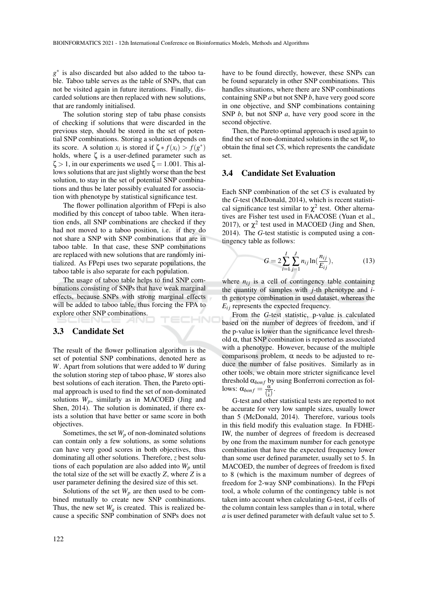*g* ∗ is also discarded but also added to the taboo table. Taboo table serves as the table of SNPs, that can not be visited again in future iterations. Finally, discarded solutions are then replaced with new solutions, that are randomly initialised.

The solution storing step of tabu phase consists of checking if solutions that were discarded in the previous step, should be stored in the set of potential SNP combinations. Storing a solution depends on its score. A solution  $x_i$  is stored if  $\zeta * f(x_i) > f(g^*)$ holds, where ζ is a user-defined parameter such as  $\zeta > 1$ , in our experiments we used  $\zeta = 1.001$ . This allows solutions that are just slightly worse than the best solution, to stay in the set of potential SNP combinations and thus be later possibly evaluated for association with phenotype by statistical significance test.

The flower pollination algorithm of FPepi is also modified by this concept of taboo table. When iteration ends, all SNP combinations are checked if they had not moved to a taboo position, i.e. if they do not share a SNP with SNP combinations that are in taboo table. In that case, these SNP combinations are replaced with new solutions that are randomly initialized. As FPepi uses two separate populations, the taboo table is also separate for each population.

The usage of taboo table helps to find SNP combinations consisting of SNPs that have weak marginal effects, because SNPs with strong marginal effects will be added to taboo table, thus forcing the FPA to explore other SNP combinations. HNC

#### 3.3 Candidate Set

The result of the flower pollination algorithm is the set of potential SNP combinations, denoted here as *W*. Apart from solutions that were added to *W* during the solution storing step of taboo phase, *W* stores also best solutions of each iteration. Then, the Pareto optimal approach is used to find the set of non-dominated solutions  $W_p$ , similarly as in MACOED (Jing and Shen, 2014). The solution is dominated, if there exists a solution that have better or same score in both objectives.

Sometimes, the set  $W_p$  of non-dominated solutions can contain only a few solutions, as some solutions can have very good scores in both objectives, thus dominating all other solutions. Therefore, *z* best solutions of each population are also added into  $W_p$  until the total size of the set will be exactly *Z*, where *Z* is a user parameter defining the desired size of this set.

Solutions of the set  $W_p$  are then used to be combined mutually to create new SNP combinations. Thus, the new set  $W_q$  is created. This is realized because a specific SNP combination of SNPs does not have to be found directly, however, these SNPs can be found separately in other SNP combinations. This handles situations, where there are SNP combinations containing SNP *a* but not SNP *b*, have very good score in one objective, and SNP combinations containing SNP *b*, but not SNP *a*, have very good score in the second objective.

Then, the Pareto optimal approach is used again to find the set of non-dominated solutions in the set  $W_a$  to obtain the final set *CS*, which represents the candidate set.

#### 3.4 Candidate Set Evaluation

Each SNP combination of the set *CS* is evaluated by the *G*-test (McDonald, 2014), which is recent statistical significance test similar to  $\chi^2$  test. Other alternatives are Fisher test used in FAACOSE (Yuan et al., 2017), or  $\chi^2$  test used in MACOED (Jing and Shen, 2014). The *G*-test statistic is computed using a contingency table as follows:

$$
G = 2\sum_{i=1}^{I} \sum_{j=1}^{J} n_{ij} \ln(\frac{n_{ij}}{E_{ij}}),
$$
 (13)

where  $n_{ij}$  is a cell of contingency table containing the quantity of samples with *j*-th phenotype and *i*th genotype combination in used dataset, whereas the  $E_{ij}$  represents the expected frequency.

From the *G*-test statistic, p-value is calculated based on the number of degrees of freedom, and if the p-value is lower than the significance level threshold  $\alpha$ , that SNP combination is reported as associated with a phenotype. However, because of the multiple comparisons problem,  $\alpha$  needs to be adjusted to reduce the number of false positives. Similarly as in other tools, we obtain more stricter significance level threshold  $\alpha_{bonf}$  by using Bonferroni correction as fol $lows: α<sub>bonf</sub> = \frac{α}{\binom{n}{k}}.$ 

G-test and other statistical tests are reported to not be accurate for very low sample sizes, usually lower than 5 (McDonald, 2014). Therefore, various tools in this field modify this evaluation stage. In FDHE-IW, the number of degrees of freedom is decreased by one from the maximum number for each genotype combination that have the expected frequency lower than some user defined parameter, usually set to 5. In MACOED, the number of degrees of freedom is fixed to 8 (which is the maximum number of degrees of freedom for 2-way SNP combinations). In the FPepi tool, a whole column of the contingency table is not taken into account when calculating G-test, if cells of the column contain less samples than *a* in total, where *a* is user defined parameter with default value set to 5.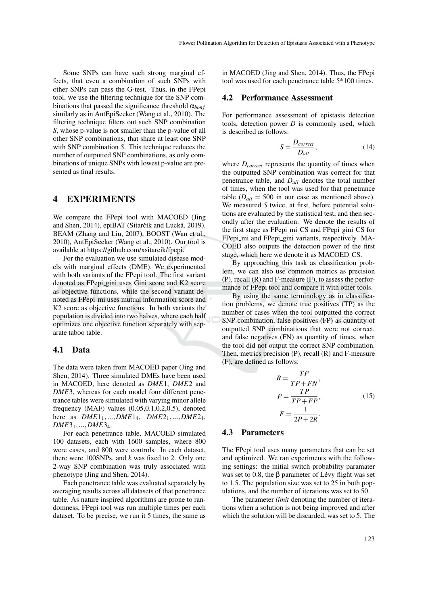Some SNPs can have such strong marginal effects, that even a combination of such SNPs with other SNPs can pass the G-test. Thus, in the FPepi tool, we use the filtering technique for the SNP combinations that passed the significance threshold  $\alpha_{bonf}$ similarly as in AntEpiSeeker (Wang et al., 2010). The filtering technique filters out such SNP combination *S*, whose p-value is not smaller than the p-value of all other SNP combinations, that share at least one SNP with SNP combination *S*. This technique reduces the number of outputted SNP combinations, as only combinations of unique SNPs with lowest p-value are presented as final results.

#### 4 EXPERIMENTS

We compare the FPepi tool with MACOED (Jing and Shen, 2014), epiBAT (Sitarčík and Lucká, 2019), BEAM (Zhang and Liu, 2007), BOOST (Wan et al., 2010), AntEpiSeeker (Wang et al., 2010). Our tool is available at https://github.com/xsitarcik/fpepi.

For the evaluation we use simulated disease models with marginal effects (DME). We experimented with both variants of the FPepi tool. The first variant denoted as FPepi gini uses Gini score and K2 score as objective functions, while the second variant denoted as FPepi\_mi uses mutual information score and K2 score as objective functions. In both variants the population is divided into two halves, where each half optimizes one objective function separately with separate taboo table.

#### 4.1 Data

The data were taken from MACOED paper (Jing and Shen, 2014). Three simulated DMEs have been used in MACOED, here denoted as *DME*1, *DME*2 and *DME*3, whereas for each model four different penetrance tables were simulated with varying minor allele frequency (MAF) values  $(0.05, 0.1, 0.2, 0.5)$ , denoted here as *DME*11,...,*DME*14, *DME*21,...,*DME*24, *DME*31,...,*DME*34.

For each penetrance table, MACOED simulated 100 datasets, each with 1600 samples, where 800 were cases, and 800 were controls. In each dataset, there were 100SNPs, and *k* was fixed to 2. Only one 2-way SNP combination was truly associated with phenotype (Jing and Shen, 2014).

Each penetrance table was evaluated separately by averaging results across all datasets of that penetrance table. As nature inspired algorithms are prone to randomness, FPepi tool was run multiple times per each dataset. To be precise, we run it 5 times, the same as in MACOED (Jing and Shen, 2014). Thus, the FPepi tool was used for each penetrance table 5\*100 times.

#### 4.2 Performance Assessment

For performance assessment of epistasis detection tools, detection power *D* is commonly used, which is described as follows:

$$
S = \frac{D_{correct}}{D_{all}},\tag{14}
$$

where *Dcorrect* represents the quantity of times when the outputted SNP combination was correct for that penetrance table, and *Dall* denotes the total number of times, when the tool was used for that penetrance table  $(D_{all} = 500$  in our case as mentioned above). We measured *S* twice, at first, before potential solutions are evaluated by the statistical test, and then secondly after the evaluation. We denote the results of the first stage as FPepi\_mi\_CS and FPepi\_gini\_CS for FPepi\_mi and FPepi\_gini variants, respectively. MA-COED also outputs the detection power of the first stage, which here we denote it as MACOED CS.

By approaching this task as classification problem, we can also use common metrics as precision (P), recall (R) and F-measure (F), to assess the performance of FPepi tool and compare it with other tools.

By using the same terminology as in classification problems, we denote true positives (TP) as the number of cases when the tool outputted the correct SNP combination, false positives (FP) as quantity of outputted SNP combinations that were not correct, and false negatives (FN) as quantity of times, when the tool did not output the correct SNP combination. Then, metrics precision (P), recall (R) and F-measure (F), are defined as follows:

$$
R = \frac{TP}{TP + FN},
$$
  
\n
$$
P = \frac{TP}{TP + FP},
$$
  
\n
$$
F = \frac{1}{2P + 2R}.
$$
\n(15)

### 4.3 Parameters

The FPepi tool uses many parameters that can be set and optimized. We ran experiments with the following settings: the initial switch probability paramater was set to 0.8, the  $\beta$  parameter of Lévy flight was set to 1.5. The population size was set to 25 in both populations, and the number of iterations was set to 50.

The parameter *limit* denoting the number of iterations when a solution is not being improved and after which the solution will be discarded, was set to 5. The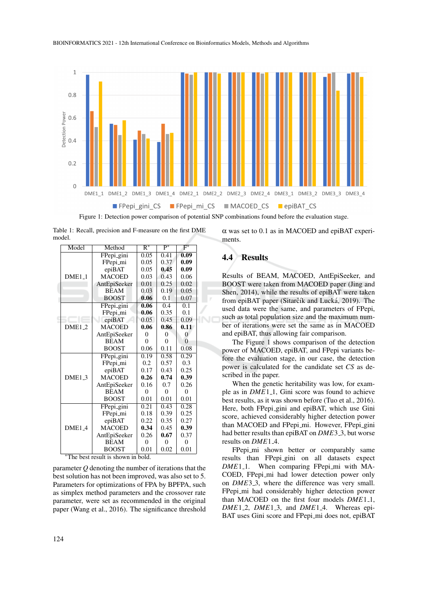

Figure 1: Detection power comparison of potential SNP combinations found before the evaluation stage.

Table 1: Recall, precision and F-measure on the first DME model.

| Model    | Method        | $\overline{R^*}$ | $\overline{P^*}$ | $F^*$             |
|----------|---------------|------------------|------------------|-------------------|
|          | FPepi_gini    | 0.05             | 0.41             | $\overline{0.09}$ |
| $DME1_1$ | FPepi_mi      | 0.05             | 0.37             | 0.09              |
|          | epiBAT        | 0.05             | 0.45             | 0.09              |
|          | <b>MACOED</b> | 0.03             | 0.43             | 0.06              |
|          | AntEpiSeeker  | 0.01             | 0.25             | 0.02              |
|          | <b>BEAM</b>   | 0.03             | 0.19             | 0.05              |
|          | <b>BOOST</b>  | 0.06             | 0.1              | 0.07              |
|          | FPepi_gini    | 0.06             | 0.4              | 0.1               |
|          | FPepi_mi      | 0.06             | 0.35             | 0.1               |
|          | epiBAT        | 0.05             | 0.45             | 0.09              |
| $DME1_2$ | <b>MACOED</b> | 0.06             | 0.86             | 0.11              |
|          | AntEpiSeeker  | $\Omega$         | $\theta$         | $\overline{0}$    |
|          | <b>BEAM</b>   | $\theta$         | $\theta$         | $\theta$          |
|          | <b>BOOST</b>  | 0.06             | 0.11             | 0.08              |
|          | FPepi_gini    | 0.19             | 0.58             | 0.29              |
| $DME1_3$ | FPepi_mi      | 0.2              | 0.57             | 0.3               |
|          | epiBAT        | 0.17             | 0.43             | 0.25              |
|          | <b>MACOED</b> | 0.26             | 0.74             | 0.39              |
|          | AntEpiSeeker  | 0.16             | 0.7              | 0.26              |
|          | <b>BEAM</b>   | $\theta$         | $\theta$         | $\theta$          |
|          | <b>BOOST</b>  | 0.01             | 0.01             | 0.01              |
| DME1.4   | FPepi_gini    | 0.21             | 0.43             | 0.28              |
|          | FPepi_mi      | 0.18             | 0.39             | 0.25              |
|          | epiBAT        | 0.22             | 0.35             | 0.27              |
|          | <b>MACOED</b> | 0.34             | 0.45             | 0.39              |
|          | AntEpiSeeker  | 0.26             | 0.67             | 0.37              |
|          | <b>BEAM</b>   | $\theta$         | $\Omega$         | $\theta$          |
|          | <b>BOOST</b>  | 0.01             | 0.02             | 0.01              |

The best result is shown in bold.

parameter *Q* denoting the number of iterations that the best solution has not been improved, was also set to 5. Parameters for optimizations of FPA by BPFPA, such as simplex method parameters and the crossover rate parameter, were set as recommended in the original paper (Wang et al., 2016). The significance threshold α was set to 0.1 as in MACOED and epiBAT experiments.

### 4.4 Results

Results of BEAM, MACOED, AntEpiSeeker, and BOOST were taken from MACOED paper (Jing and Shen, 2014), while the results of epiBAT were taken from epiBAT paper (Sitarčík and Lucká, 2019). The used data were the same, and parameters of FPepi, such as total population size and the maximum number of iterations were set the same as in MACOED and epiBAT, thus allowing fair comparison.

The Figure 1 shows comparison of the detection power of MACOED, epiBAT, and FPepi variants before the evaluation stage, in our case, the detection power is calculated for the candidate set *CS* as described in the paper.

When the genetic heritability was low, for example as in *DME*1<sub>-1</sub>, Gini score was found to achieve best results, as it was shown before (Tuo et al., 2016). Here, both FPepi gini and epiBAT, which use Gini score, achieved considerably higher detection power than MACOED and FPepi\_mi. However, FPepi\_gini had better results than epiBAT on *DME*3<sub>-3</sub>, but worse results on *DME*<sup>1</sup><sub>-4</sub>.

FPepi\_mi shown better or comparably same results than FPepi gini on all datasets expect *DME*<sup>1</sup><sub>-1</sub>. When comparing FPepi<sub>mi</sub> with MA-COED, FPepi\_mi had lower detection power only on *DME*3<sub>-3</sub>, where the difference was very small. FPepi\_mi had considerably higher detection power than MACOED on the first four models *DME*<sup>1</sup><sub>1</sub>, *DME*1 2, *DME*1 3, and *DME*1 4. Whereas epi-BAT uses Gini score and FPepi\_mi does not, epiBAT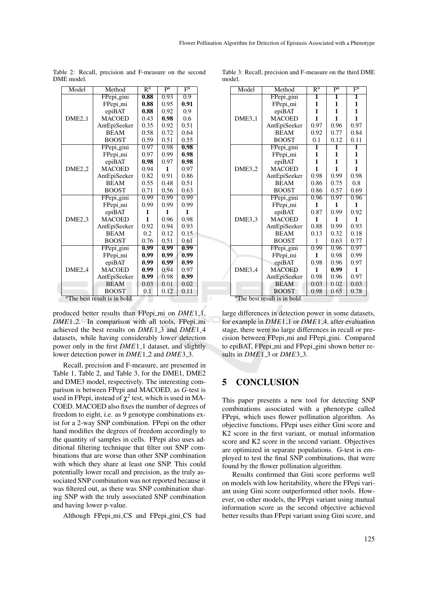| Model              | Method        | $R^a$ | $\overline{pa}$ | $\overline{F^a}$ |
|--------------------|---------------|-------|-----------------|------------------|
|                    | FPepi_gini    | 0.88  | 0.93            | $\overline{0.9}$ |
| $DME2_1$           | FPepi_mi      | 0.88  | 0.95            | 0.91             |
|                    | epiBAT        | 0.88  | 0.92            | 0.9              |
|                    | <b>MACOED</b> | 0.43  | 0.98            | 0.6              |
|                    | AntEpiSeeker  | 0.35  | 0.92            | 0.51             |
|                    | <b>BEAM</b>   | 0.58  | 0.72            | 0.64             |
|                    | <b>BOOST</b>  | 0.59  | 0.51            | 0.55             |
|                    | FPepi_gini    | 0.97  | 0.98            | 0.98             |
|                    | FPepi_mi      | 0.97  | 0.99            | 0.98             |
|                    | epiBAT        | 0.98  | 0.97            | 0.98             |
| $DME2_2$           | <b>MACOED</b> | 0.94  | 1               | 0.97             |
|                    | AntEpiSeeker  | 0.82  | 0.91            | 0.86             |
|                    | <b>BEAM</b>   | 0.55  | 0.48            | 0.51             |
|                    | <b>BOOST</b>  | 0.71  | 0.56            | 0.63             |
|                    | FPepi_gini    | 0.99  | 0.99            | 0.99             |
| $DME2_3$           | FPepi_mi      | 0.99  | 0.99            | 0.99             |
|                    | epiBAT        | 1     | 1               | 1                |
|                    | <b>MACOED</b> | 1     | 0.96            | 0.98             |
|                    | AntEpiSeeker  | 0.92  | 0.94            | 0.93             |
|                    | <b>BEAM</b>   | 0.2   | 0.12            | 0.15             |
|                    | <b>BOOST</b>  | 0.76  | 0.51            | 0.61             |
|                    | FPepi_gini    | 0.99  | 0.99            | 0.99             |
| DME <sub>2.4</sub> | FPepi_mi      | 0.99  | 0.99            | 0.99             |
|                    | epiBAT        | 0.99  | 0.99            | 0.99             |
|                    | <b>MACOED</b> | 0.99  | 0.94            | 0.97             |
|                    | AntEpiSeeker  | 0.99  | 0.98            | 0.99             |
|                    | <b>BEAM</b>   | 0.03  | 0.01            | 0.02             |
|                    | <b>BOOST</b>  | 0.1   | 0.12            | 0.11             |

Table 2: Recall, precision and F-measure on the second DME model.

The best result is in bold.

produced better results than FPepi\_mi on *DME*<sup>1</sup><sub>1</sub>, *DME*1.2. In comparison with all tools, FPepi<sub>mi</sub> achieved the best results on *DME*1<sub>-3</sub> and *DME*1<sub>-4</sub> datasets, while having considerably lower detection power only in the first *DME*<sup>1</sup><sub>-1</sub> dataset, and slightly lower detection power in *DME*1<sub>-2</sub> and *DME*3<sub>-3</sub>.

Recall, precision and F-measure, are presented in Table 1, Table 2, and Table 3, for the DME1, DME2 and DME3 model, respectively. The interesting comparison is between FPepi and MACOED, as *G*-test is used in FPepi, instead of  $\chi^2$  test, which is used in MA-COED. MACOED also fixes the number of degrees of freedom to eight, i.e. as 9 genotype combinations exist for a 2-way SNP combination. FPepi on the other hand modifies the degrees of freedom accordingly to the quantity of samples in cells. FPepi also uses additional filtering technique that filter out SNP combinations that are worse than other SNP combination with which they share at least one SNP. This could potentially lower recall and precision, as the truly associated SNP combination was not reported because it was filtered out, as there was SNP combination sharing SNP with the truly associated SNP combination and having lower p-value.

Although FPepi\_mi\_CS and FPepi\_gini\_CS had

Table 3: Recall, precision and F-measure on the third DME model.

|  | Model                                    | Method        | $\overline{\mathsf{R}^{\mathrm{a}}}$ | $\overline{pa}$ | $\overline{\mathrm{F}^{\mathrm{a}}}$ |  |  |  |
|--|------------------------------------------|---------------|--------------------------------------|-----------------|--------------------------------------|--|--|--|
|  | $DME3_1$                                 | FPepi_gini    | 1                                    | 1               | 1                                    |  |  |  |
|  |                                          | FPepi_mi      | 1                                    | 1               | 1                                    |  |  |  |
|  |                                          | epiBAT        | 1                                    | 1               | 1                                    |  |  |  |
|  |                                          | <b>MACOED</b> | 1                                    | 1               | 1                                    |  |  |  |
|  |                                          | AntEpiSeeker  | 0.97                                 | 0.96            | 0.97                                 |  |  |  |
|  |                                          | <b>BEAM</b>   | 0.92                                 | 0.77            | 0.84                                 |  |  |  |
|  |                                          | <b>BOOST</b>  | 0.1                                  | 0.12            | 0.11                                 |  |  |  |
|  |                                          | FPepi_gini    | $\overline{\mathbf{1}}$              | 1               | 1                                    |  |  |  |
|  |                                          | FPepi_mi      | 1                                    | 1               | 1                                    |  |  |  |
|  |                                          | epiBAT        | 1                                    | 1               | 1                                    |  |  |  |
|  | DME <sub>3-2</sub>                       | <b>MACOED</b> | 1                                    | 1               | 1                                    |  |  |  |
|  |                                          | AntEpiSeeker  | 0.98                                 | 0.99            | 0.98                                 |  |  |  |
|  |                                          | <b>BEAM</b>   | 0.86                                 | 0.75            | 0.8                                  |  |  |  |
|  |                                          | <b>BOOST</b>  | 0.86                                 | 0.57            | 0.69                                 |  |  |  |
|  | DME <sub>3</sub> 3                       | FPepi_gini    | 0.96                                 | 0.97            | 0.96                                 |  |  |  |
|  |                                          | FPepi_mi      | 1                                    | 1               | 1                                    |  |  |  |
|  |                                          | epiBAT        | 0.87                                 | 0.99            | 0.92                                 |  |  |  |
|  |                                          | <b>MACOED</b> | 1                                    | 1               | 1                                    |  |  |  |
|  |                                          | AntEpiSeeker  | 0.88                                 | 0.99            | 0.93                                 |  |  |  |
|  |                                          | <b>BEAM</b>   | 0.13                                 | 0.32            | 0.18                                 |  |  |  |
|  |                                          | <b>BOOST</b>  | 1                                    | 0.63            | 0.77                                 |  |  |  |
|  | DME <sub>3</sub> 4                       | FPepi_gini    | 0.99                                 | 0.96            | 0.97                                 |  |  |  |
|  |                                          | FPepi_mi      | 1                                    | 0.98            | 0.99                                 |  |  |  |
|  |                                          | epiBAT        | 0.98                                 | 0.96            | 0.97                                 |  |  |  |
|  |                                          | <b>MACOED</b> | 1                                    | 0.99            | 1                                    |  |  |  |
|  |                                          | AntEpiSeeker  | 0.98                                 | 0.96            | 0.97                                 |  |  |  |
|  |                                          | <b>BEAM</b>   | 0.03                                 | 0.02            | 0.03                                 |  |  |  |
|  |                                          | <b>BOOST</b>  | 0.98                                 | 0.65            | 0.78                                 |  |  |  |
|  | <sup>a</sup> The best result is in bold. |               |                                      |                 |                                      |  |  |  |

large differences in detection power in some datasets, for example in *DME*<sup>1</sup><sub>-1</sub> or *DME*<sup>1</sup><sub>-4</sub>, after evaluation stage, there were no large differences in recall or precision between FPepi mi and FPepi gini. Compared to epiBAT, FPepi\_mi and FPepi\_gini shown better results in *DME*1 3 or *DME*3 3.

### 5 CONCLUSION

This paper presents a new tool for detecting SNP combinations associated with a phenotype called FPepi, which uses flower pollination algorithm. As objective functions, FPepi uses either Gini score and K2 score in the first variant, or mutual information score and K2 score in the second variant. Objectives are optimized in separate populations. G-test is employed to test the final SNP combinations, that were found by the flower pollination algorithm.

Results confirmed that Gini score performs well on models with low heritability, where the FPepi variant using Gini score outperformed other tools. However, on other models, the FPepi variant using mutual information score as the second objective achieved better results than FPepi variant using Gini score, and